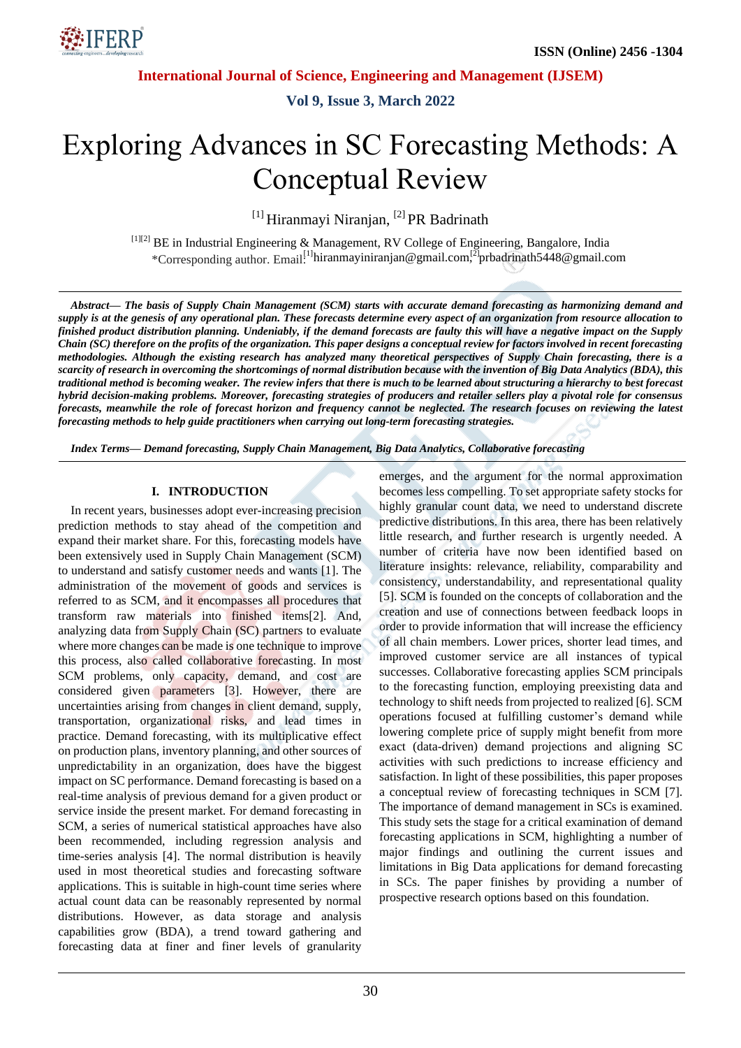

**Vol 9, Issue 3, March 2022**

# Exploring Advances in SC Forecasting Methods: A Conceptual Review

<sup>[1]</sup> Hiranmayi Niranjan, <sup>[2]</sup> PR Badrinath

[1][2] BE in Industrial Engineering & Management, RV College of Engineering, Bangalore, India \*Corresponding author. Email.<sup>[1]</sup>hiranmayiniranjan@gmail.com,<sup>[2]</sup>prbadrinath5448@gmail.com

Abstract— The basis of Supply Chain Management (SCM) starts with accurate demand forecasting as harmonizing demand and supply is at the genesis of any operational plan. These forecasts determine every aspect of an organization from resource allocation to finished product distribution planning. Undeniably, if the demand forecasts are faulty this will have a negative impact on the Supply Chain (SC) therefore on the profits of the organization. This paper designs a conceptual review for factors involved in recent forecasting methodologies. Although the existing research has analyzed many theoretical perspectives of Supply Chain forecasting, there is a scarcity of research in overcoming the shortcomings of normal distribution because with the invention of Big Data Analytics (BDA), this traditional method is becoming weaker. The review infers that there is much to be learned about structuring a hierarchy to best forecast hybrid decision-making problems. Moreover, forecasting strategies of producers and retailer sellers play a pivotal role for consensus forecasts, meanwhile the role of forecast horizon and frequency cannot be neglected. The research focuses on reviewing the latest *forecasting methods to help guide practitioners when carrying out long-term forecasting strategies.*

*Index Terms— Demand forecasting, Supply Chain Management, Big Data Analytics, Collaborative forecasting*

#### **I. INTRODUCTION**

In recent years, businesses adopt ever-increasing precision prediction methods to stay ahead of the competition and expand their market share. For this, forecasting models have been extensively used in Supply Chain Management (SCM) to understand and satisfy customer needs and wants [1]. The administration of the movement of goods and services is referred to as SCM, and it encompasses all procedures that transform raw materials into finished items[2]. And, analyzing data from Supply Chain (SC) partners to evaluate where more changes can be made is one technique to improve this process, also called collaborative forecasting. In most SCM problems, only capacity, demand, and cost are considered given parameters [3]. However, there are uncertainties arising from changes in client demand, supply, transportation, organizational risks, and lead times in practice. Demand forecasting, with its multiplicative effect on production plans, inventory planning, and other sources of unpredictability in an organization, does have the biggest impact on SC performance. Demand forecasting is based on a real-time analysis of previous demand for a given product or service inside the present market. For demand forecasting in SCM, a series of numerical statistical approaches have also been recommended, including regression analysis and time-series analysis [4]. The normal distribution is heavily used in most theoretical studies and forecasting software applications. This is suitable in high-count time series where actual count data can be reasonably represented by normal distributions. However, as data storage and analysis capabilities grow (BDA), a trend toward gathering and forecasting data at finer and finer levels of granularity emerges, and the argument for the normal approximation becomes less compelling. To set appropriate safety stocks for highly granular count data, we need to understand discrete predictive distributions. In this area, there has been relatively little research, and further research is urgently needed. A number of criteria have now been identified based on literature insights: relevance, reliability, comparability and consistency, understandability, and representational quality [5]. SCM is founded on the concepts of collaboration and the creation and use of connections between feedback loops in order to provide information that will increase the efficiency of all chain members. Lower prices, shorter lead times, and improved customer service are all instances of typical successes. Collaborative forecasting applies SCM principals to the forecasting function, employing preexisting data and technology to shift needs from projected to realized [6]. SCM operations focused at fulfilling customer's demand while lowering complete price of supply might benefit from more exact (data-driven) demand projections and aligning SC activities with such predictions to increase efficiency and satisfaction. In light of these possibilities, this paper proposes a conceptual review of forecasting techniques in SCM [7]. The importance of demand management in SCs is examined. This study sets the stage for a critical examination of demand forecasting applications in SCM, highlighting a number of major findings and outlining the current issues and limitations in Big Data applications for demand forecasting in SCs. The paper finishes by providing a number of prospective research options based on this foundation.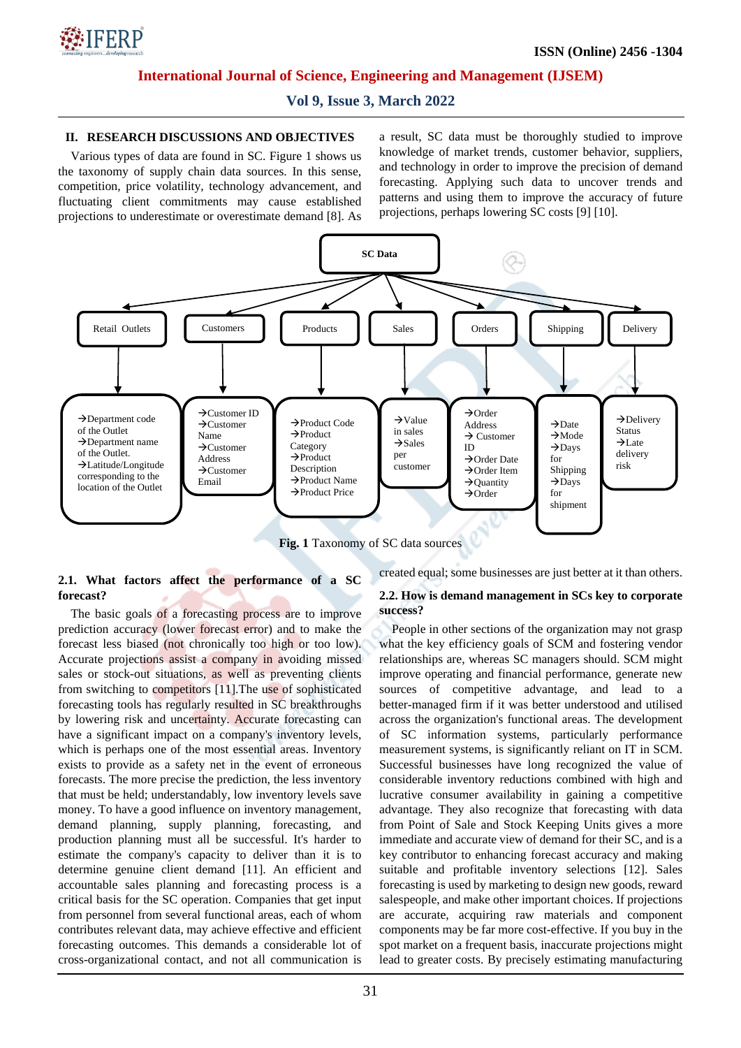

**Vol 9, Issue 3, March 2022**

## **II. RESEARCH DISCUSSIONS AND OBJECTIVES**

Various types of data are found in SC. Figure 1 shows us the taxonomy of supply chain data sources. In this sense, competition, price volatility, technology advancement, and fluctuating client commitments may cause established projections to underestimate or overestimate demand [8]. As a result, SC data must be thoroughly studied to improve knowledge of market trends, customer behavior, suppliers, and technology in order to improve the precision of demand forecasting. Applying such data to uncover trends and patterns and using them to improve the accuracy of future projections, perhaps lowering SC costs [9] [10].



**Fig. 1** Taxonomy of SC data sources

# **2.1. What factors affect the performance of a SC forecast?**

The basic goals of a forecasting process are to improve prediction accuracy (lower forecast error) and to make the forecast less biased (not chronically too high or too low). Accurate projections assist a company in avoiding missed sales or stock-out situations, as well as preventing clients from switching to competitors [11].The use of sophisticated forecasting tools has regularly resulted in SC breakthroughs by lowering risk and uncertainty. Accurate forecasting can have a significant impact on a company's inventory levels, which is perhaps one of the most essential areas. Inventory exists to provide as a safety net in the event of erroneous forecasts. The more precise the prediction, the less inventory that must be held; understandably, low inventory levels save money. To have a good influence on inventory management, demand planning, supply planning, forecasting, and production planning must all be successful. It's harder to estimate the company's capacity to deliver than it is to determine genuine client demand [11]. An efficient and accountable sales planning and forecasting process is a critical basis for the SC operation. Companies that get input from personnel from several functional areas, each of whom contributes relevant data, may achieve effective and efficient forecasting outcomes. This demands a considerable lot of cross-organizational contact, and not all communication is created equal; some businesses are just better at it than others.

#### **2.2. How is demand management in SCs key to corporate success?**

People in other sections of the organization may not grasp what the key efficiency goals of SCM and fostering vendor relationships are, whereas SC managers should. SCM might improve operating and financial performance, generate new sources of competitive advantage, and lead to a better-managed firm if it was better understood and utilised across the organization's functional areas. The development of SC information systems, particularly performance measurement systems, is significantly reliant on IT in SCM. Successful businesses have long recognized the value of considerable inventory reductions combined with high and lucrative consumer availability in gaining a competitive advantage. They also recognize that forecasting with data from Point of Sale and Stock Keeping Units gives a more immediate and accurate view of demand for their SC, and is a key contributor to enhancing forecast accuracy and making suitable and profitable inventory selections [12]. Sales forecasting is used by marketing to design new goods, reward salespeople, and make other important choices. If projections are accurate, acquiring raw materials and component components may be far more cost-effective. If you buy in the spot market on a frequent basis, inaccurate projections might lead to greater costs. By precisely estimating manufacturing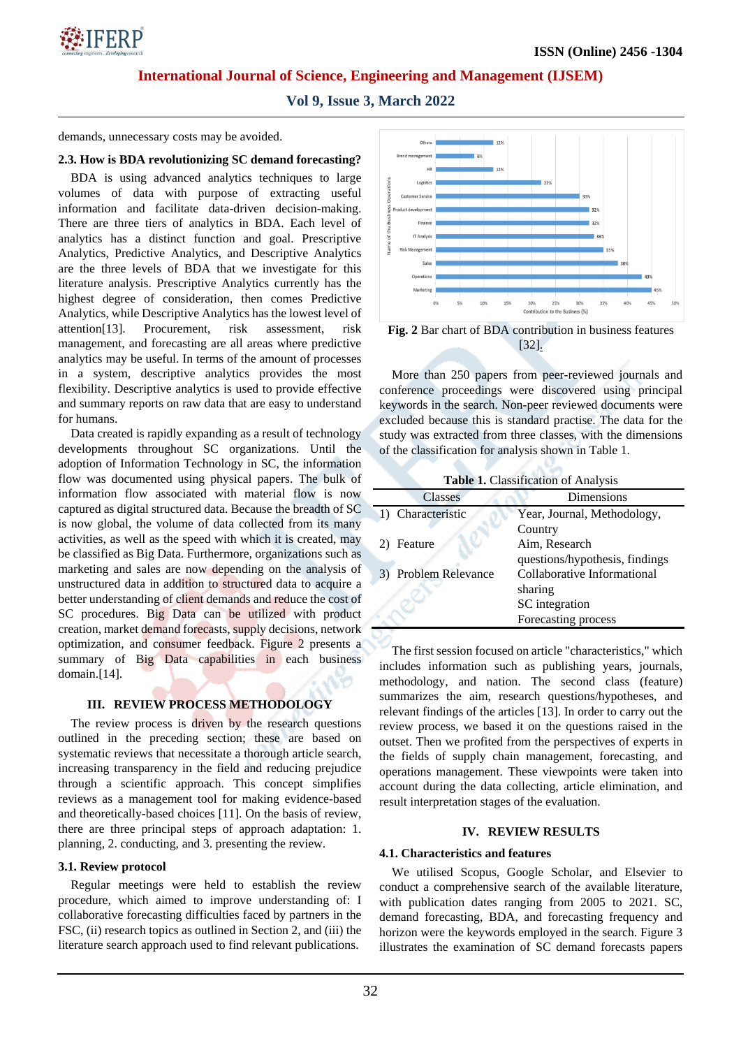

**Vol 9, Issue 3, March 2022**

demands, unnecessary costs may be avoided.

## **2.3. How is BDA revolutionizing SC demand forecasting?**

BDA is using advanced analytics techniques to large volumes of data with purpose of extracting useful information and facilitate data-driven decision-making. There are three tiers of analytics in BDA. Each level of analytics has a distinct function and goal. Prescriptive Analytics, Predictive Analytics, and Descriptive Analytics are the three levels of BDA that we investigate for this literature analysis. Prescriptive Analytics currently has the highest degree of consideration, then comes Predictive Analytics, while Descriptive Analytics has the lowest level of attention[13]. Procurement, risk assessment, risk management, and forecasting are all areas where predictive analytics may be useful. In terms of the amount of processes in a system, descriptive analytics provides the most flexibility. Descriptive analytics is used to provide effective and summary reports on raw data that are easy to understand for humans.

Data created is rapidly expanding as a result of technology developments throughout SC organizations. Until the adoption of Information Technology in SC, the information flow was documented using physical papers. The bulk of information flow associated with material flow is now captured as digital structured data. Because the breadth of SC is now global, the volume of data collected from its many activities, as well as the speed with which it is created, may be classified as Big Data. Furthermore, organizations such as marketing and sales are now depending on the analysis of unstructured data in addition to structured data to acquire a better understanding of client demands and reduce the cost of SC procedures. Big Data can be utilized with product creation, market demand forecasts, supply decisions, network optimization, and consumer feedback. Figure 2 presents a summary of Big Data capabilities in each business domain.[14].

# **III. REVIEW PROCESS METHODOLOGY**

The review process is driven by the research questions outlined in the preceding section; these are based on systematic reviews that necessitate a thorough article search, increasing transparency in the field and reducing prejudice through a scientific approach. This concept simplifies reviews as a management tool for making evidence-based and theoretically-based choices [11]. On the basis of review, there are three principal steps of approach adaptation: 1. planning, 2. conducting, and 3. presenting the review.

#### **3.1. Review protocol**

Regular meetings were held to establish the review procedure, which aimed to improve understanding of: I collaborative forecasting difficulties faced by partners in the FSC, (ii) research topics as outlined in Section 2, and (iii) the literature search approach used to find relevant publications.



**Fig. 2** Bar chart of BDA contribution in business features [32].

More than 250 papers from peer-reviewed journals and conference proceedings were discovered using principal keywords in the search. Non-peer reviewed documents were excluded because this is standard practise. The data for the study was extracted from three classes, with the dimensions of the classification for analysis shown in Table 1.

| <b>Classes</b>       | Dimensions                     |
|----------------------|--------------------------------|
| 1) Characteristic    | Year, Journal, Methodology,    |
|                      | Country                        |
| 2) Feature           | Aim, Research                  |
|                      | questions/hypothesis, findings |
| 3) Problem Relevance | Collaborative Informational    |
|                      | sharing                        |
|                      | SC integration                 |
|                      | Forecasting process            |

The first session focused on article "characteristics," which includes information such as publishing years, journals, methodology, and nation. The second class (feature) summarizes the aim, research questions/hypotheses, and relevant findings of the articles [13]. In order to carry out the review process, we based it on the questions raised in the outset. Then we profited from the perspectives of experts in the fields of supply chain management, forecasting, and operations management. These viewpoints were taken into account during the data collecting, article elimination, and result interpretation stages of the evaluation.

# **IV. REVIEW RESULTS**

# **4.1. Characteristics and features**

We utilised Scopus, Google Scholar, and Elsevier to conduct a comprehensive search of the available literature, with publication dates ranging from 2005 to 2021. SC, demand forecasting, BDA, and forecasting frequency and horizon were the keywords employed in the search. Figure 3 illustrates the examination of SC demand forecasts papers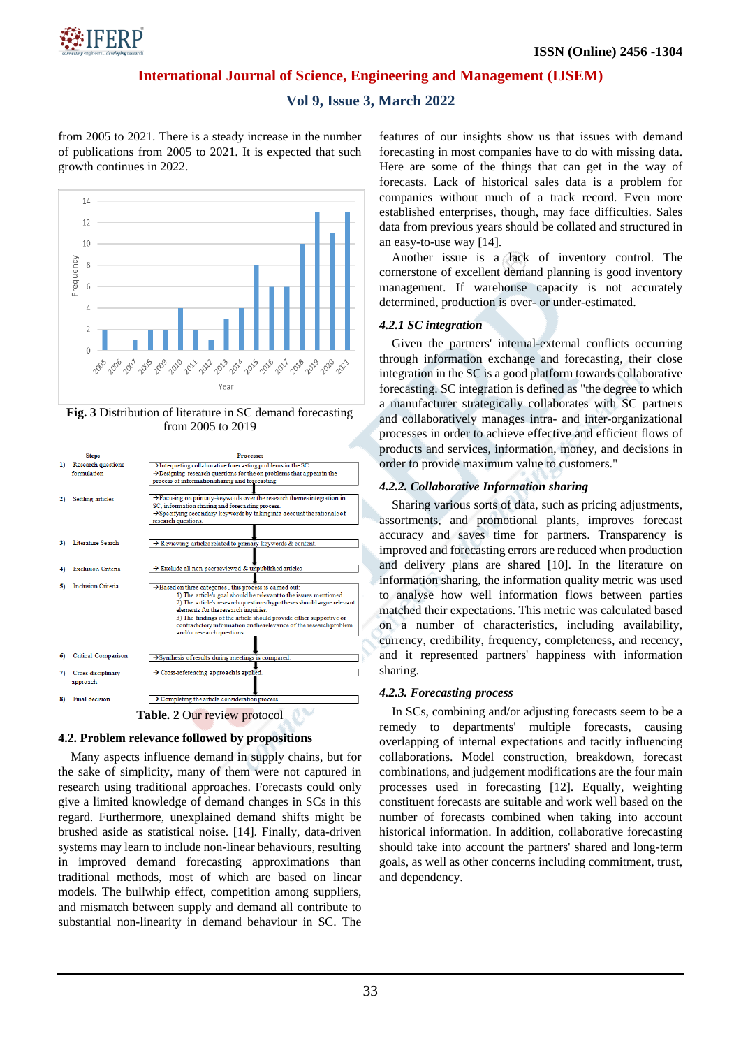

# **Vol 9, Issue 3, March 2022**

from 2005 to 2021. There is a steady increase in the number of publications from 2005 to 2021. It is expected that such growth continues in 2022.



**Fig. 3** Distribution of literature in SC demand forecasting from 2005 to 2019

|                                     | <b>Steps</b>              | <b>Processes</b>                                                                                                                          |
|-------------------------------------|---------------------------|-------------------------------------------------------------------------------------------------------------------------------------------|
| $\bf{D}$                            | Research questions        | $\rightarrow$ Interpreting collaborative forecasting problems in the SC.                                                                  |
|                                     | formulation               | $\rightarrow$ Designing research questions for the on problems that appear in the                                                         |
|                                     |                           | process of information sharing and forecasting.                                                                                           |
|                                     |                           |                                                                                                                                           |
| 2)                                  | Settling articles         | $\rightarrow$ Focusing on primary-keywords over the research themes integration in                                                        |
|                                     |                           | SC, information sharing and forecasting process.                                                                                          |
|                                     |                           | $\rightarrow$ Specifying secondary-keywords by taking into account the rationale of                                                       |
|                                     |                           | research questions.                                                                                                                       |
|                                     |                           |                                                                                                                                           |
| 3)                                  | Literature Search         | $\rightarrow$ Reviewing articles related to primary-keywords & content.                                                                   |
|                                     |                           |                                                                                                                                           |
| 4)                                  | <b>Exclusion Criteria</b> | $\rightarrow$ Exclude all non-peer reviewed & unpublished articles                                                                        |
|                                     |                           |                                                                                                                                           |
| 5)                                  | <b>Inclusion Criteria</b> |                                                                                                                                           |
|                                     |                           | >Based on three categories, this process is carried out:                                                                                  |
|                                     |                           | 1) The article's goal should be relevant to the issues mentioned.<br>2) The article's research questions/hypotheses should argue relevant |
|                                     |                           | elements for the research inquiries.                                                                                                      |
|                                     |                           | 3) The findings of the article should provide either supportive or                                                                        |
|                                     |                           | contradictory information on the relevance of the research problem                                                                        |
|                                     |                           | and/or research questions.                                                                                                                |
|                                     |                           |                                                                                                                                           |
|                                     |                           |                                                                                                                                           |
| 6)                                  | Critical Comparison       | $\rightarrow$ Synthesis of results during meetings is compared.                                                                           |
|                                     |                           |                                                                                                                                           |
| 7)                                  | Cross disciplinary        | > Cross-referencing approach is applied.                                                                                                  |
|                                     | approach                  |                                                                                                                                           |
|                                     |                           |                                                                                                                                           |
| 8)                                  | Final decision            | $\rightarrow$ Completing the article consideration process.                                                                               |
|                                     |                           |                                                                                                                                           |
| <b>Table. 2 Our review protocol</b> |                           |                                                                                                                                           |

#### **4.2. Problem relevance followed by propositions**

Many aspects influence demand in supply chains, but for the sake of simplicity, many of them were not captured in research using traditional approaches. Forecasts could only give a limited knowledge of demand changes in SCs in this regard. Furthermore, unexplained demand shifts might be brushed aside as statistical noise. [14]. Finally, data-driven systems may learn to include non-linear behaviours, resulting in improved demand forecasting approximations than traditional methods, most of which are based on linear models. The bullwhip effect, competition among suppliers, and mismatch between supply and demand all contribute to substantial non-linearity in demand behaviour in SC. The features of our insights show us that issues with demand forecasting in most companies have to do with missing data. Here are some of the things that can get in the way of forecasts. Lack of historical sales data is a problem for companies without much of a track record. Even more established enterprises, though, may face difficulties. Sales data from previous years should be collated and structured in an easy-to-use way [14].

Another issue is a lack of inventory control. The cornerstone of excellent demand planning is good inventory management. If warehouse capacity is not accurately determined, production is over- or under-estimated.

#### *4.2.1 SC integration*

Given the partners' internal-external conflicts occurring through information exchange and forecasting, their close integration in the SC is a good platform towards collaborative forecasting. SC integration is defined as "the degree to which a manufacturer strategically collaborates with SC partners and collaboratively manages intra- and inter-organizational processes in order to achieve effective and efficient flows of products and services, information, money, and decisions in order to provide maximum value to customers."

#### *4.2.2. Collaborative Information sharing*

Sharing various sorts of data, such as pricing adjustments, assortments, and promotional plants, improves forecast accuracy and saves time for partners. Transparency is improved and forecasting errors are reduced when production and delivery plans are shared [10]. In the literature on information sharing, the information quality metric was used to analyse how well information flows between parties matched their expectations. This metric was calculated based on a number of characteristics, including availability, currency, credibility, frequency, completeness, and recency, and it represented partners' happiness with information sharing.

# *4.2.3. Forecasting process*

In SCs, combining and/or adjusting forecasts seem to be a remedy to departments' multiple forecasts, causing overlapping of internal expectations and tacitly influencing collaborations. Model construction, breakdown, forecast combinations, and judgement modifications are the four main processes used in forecasting [12]. Equally, weighting constituent forecasts are suitable and work well based on the number of forecasts combined when taking into account historical information. In addition, collaborative forecasting should take into account the partners' shared and long-term goals, as well as other concerns including commitment, trust, and dependency.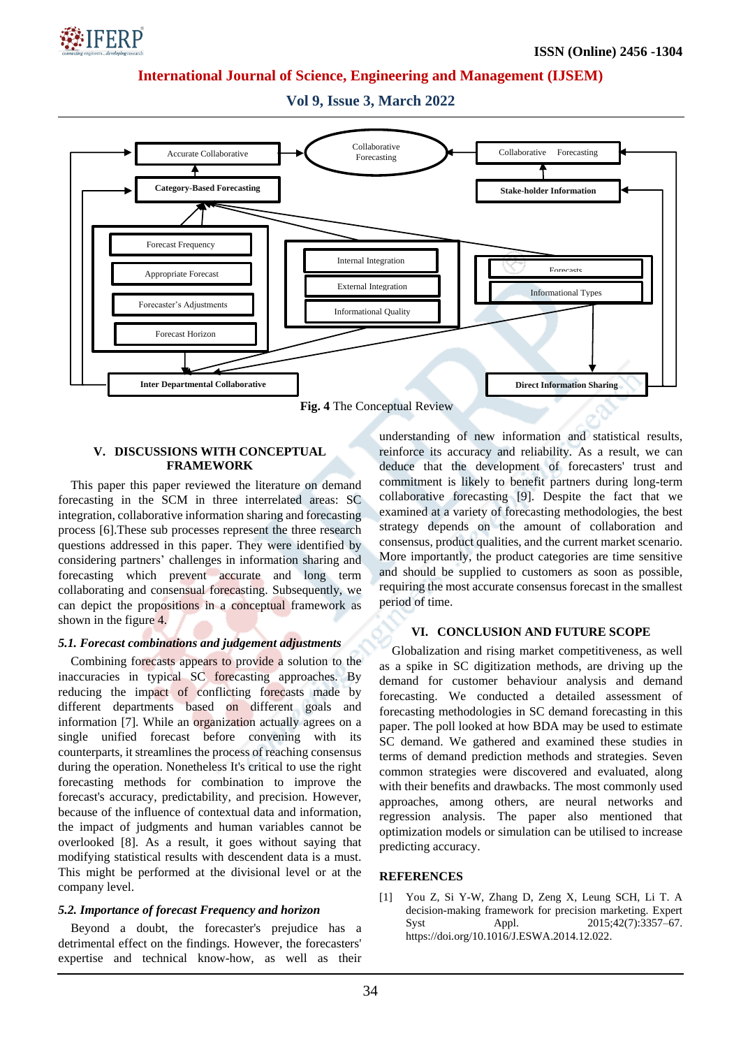

**Vol 9, Issue 3, March 2022**



## **V. DISCUSSIONS WITH CONCEPTUAL FRAMEWORK**

This paper this paper reviewed the literature on demand forecasting in the SCM in three interrelated areas: SC integration, collaborative information sharing and forecasting process [6].These sub processes represent the three research questions addressed in this paper. They were identified by considering partners' challenges in information sharing and forecasting which prevent accurate and long term collaborating and consensual forecasting. Subsequently, we can depict the propositions in a conceptual framework as shown in the figure 4.

# *5.1. Forecast combinations and judgement adjustments*

Combining forecasts appears to provide a solution to the inaccuracies in typical SC forecasting approaches. By reducing the impact of conflicting forecasts made by different departments based on different goals and information [7]. While an organization actually agrees on a single unified forecast before convening with its counterparts, it streamlines the process of reaching consensus during the operation. Nonetheless It's critical to use the right forecasting methods for combination to improve the forecast's accuracy, predictability, and precision. However, because of the influence of contextual data and information, the impact of judgments and human variables cannot be overlooked [8]. As a result, it goes without saying that modifying statistical results with descendent data is a must. This might be performed at the divisional level or at the company level.

# *5.2. Importance of forecast Frequency and horizon*

Beyond a doubt, the forecaster's prejudice has a detrimental effect on the findings. However, the forecasters' expertise and technical know-how, as well as their understanding of new information and statistical results, reinforce its accuracy and reliability. As a result, we can deduce that the development of forecasters' trust and commitment is likely to benefit partners during long-term collaborative forecasting [9]. Despite the fact that we examined at a variety of forecasting methodologies, the best strategy depends on the amount of collaboration and consensus, product qualities, and the current market scenario. More importantly, the product categories are time sensitive and should be supplied to customers as soon as possible, requiring the most accurate consensus forecast in the smallest period of time.

# **VI. CONCLUSION AND FUTURE SCOPE**

Globalization and rising market competitiveness, as well as a spike in SC digitization methods, are driving up the demand for customer behaviour analysis and demand forecasting. We conducted a detailed assessment of forecasting methodologies in SC demand forecasting in this paper. The poll looked at how BDA may be used to estimate SC demand. We gathered and examined these studies in terms of demand prediction methods and strategies. Seven common strategies were discovered and evaluated, along with their benefits and drawbacks. The most commonly used approaches, among others, are neural networks and regression analysis. The paper also mentioned that optimization models or simulation can be utilised to increase predicting accuracy.

## **REFERENCES**

[1] You Z, Si Y-W, Zhang D, Zeng X, Leung SCH, Li T. A decision-making framework for precision marketing. Expert Syst Appl. 2015:42(7):3357–67. https://doi.org/10.1016/J.ESWA.2014.12.022.